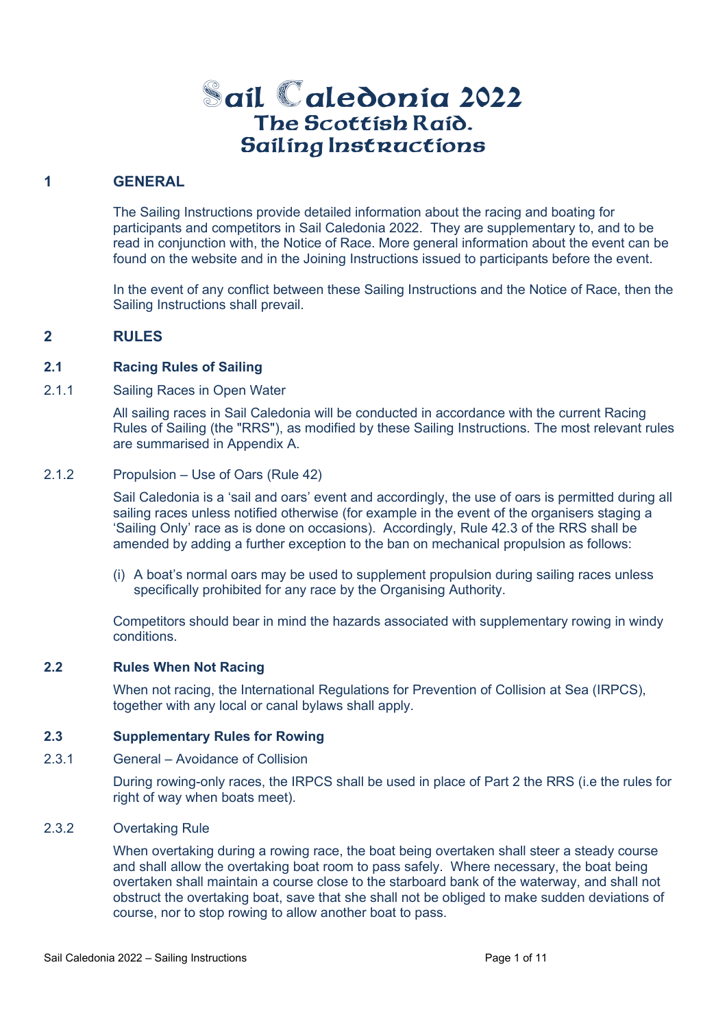# **-ail aledonia 2022** The Scottish Raid. Sailing Instructions

## **1 GENERAL**

The Sailing Instructions provide detailed information about the racing and boating for participants and competitors in Sail Caledonia 2022. They are supplementary to, and to be read in conjunction with, the Notice of Race. More general information about the event can be found on the website and in the Joining Instructions issued to participants before the event.

In the event of any conflict between these Sailing Instructions and the Notice of Race, then the Sailing Instructions shall prevail.

## **2 RULES**

## **2.1 Racing Rules of Sailing**

2.1.1 Sailing Races in Open Water

All sailing races in Sail Caledonia will be conducted in accordance with the current Racing Rules of Sailing (the "RRS"), as modified by these Sailing Instructions. The most relevant rules are summarised in Appendix A.

## 2.1.2 Propulsion – Use of Oars (Rule 42)

Sail Caledonia is a 'sail and oars' event and accordingly, the use of oars is permitted during all sailing races unless notified otherwise (for example in the event of the organisers staging a 'Sailing Only' race as is done on occasions). Accordingly, Rule 42.3 of the RRS shall be amended by adding a further exception to the ban on mechanical propulsion as follows:

(i) A boat's normal oars may be used to supplement propulsion during sailing races unless specifically prohibited for any race by the Organising Authority.

Competitors should bear in mind the hazards associated with supplementary rowing in windy conditions.

## **2.2 Rules When Not Racing**

When not racing, the International Regulations for Prevention of Collision at Sea (IRPCS), together with any local or canal bylaws shall apply.

## **2.3 Supplementary Rules for Rowing**

2.3.1 General – Avoidance of Collision

During rowing-only races, the IRPCS shall be used in place of Part 2 the RRS (i.e the rules for right of way when boats meet).

## 2.3.2 Overtaking Rule

When overtaking during a rowing race, the boat being overtaken shall steer a steady course and shall allow the overtaking boat room to pass safely. Where necessary, the boat being overtaken shall maintain a course close to the starboard bank of the waterway, and shall not obstruct the overtaking boat, save that she shall not be obliged to make sudden deviations of course, nor to stop rowing to allow another boat to pass.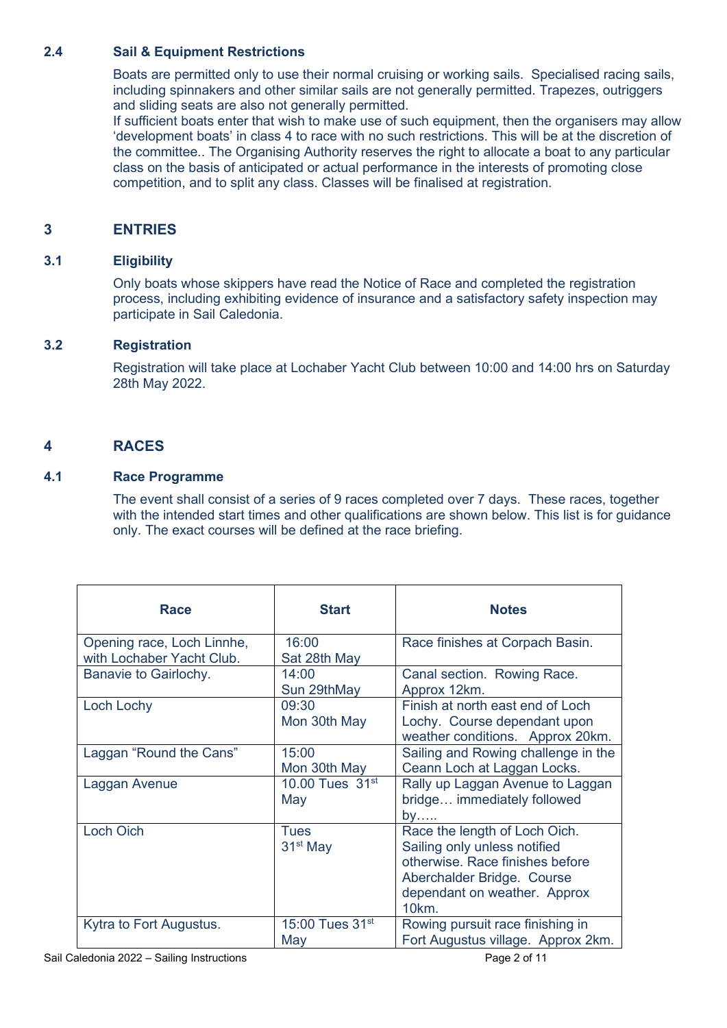## **2.4 Sail & Equipment Restrictions**

Boats are permitted only to use their normal cruising or working sails. Specialised racing sails, including spinnakers and other similar sails are not generally permitted. Trapezes, outriggers and sliding seats are also not generally permitted.

If sufficient boats enter that wish to make use of such equipment, then the organisers may allow 'development boats' in class 4 to race with no such restrictions. This will be at the discretion of the committee.. The Organising Authority reserves the right to allocate a boat to any particular class on the basis of anticipated or actual performance in the interests of promoting close competition, and to split any class. Classes will be finalised at registration.

## **3 ENTRIES**

## **3.1 Eligibility**

Only boats whose skippers have read the Notice of Race and completed the registration process, including exhibiting evidence of insurance and a satisfactory safety inspection may participate in Sail Caledonia.

## **3.2 Registration**

Registration will take place at Lochaber Yacht Club between 10:00 and 14:00 hrs on Saturday 28th May 2022.

## **4 RACES**

## **4.1 Race Programme**

The event shall consist of a series of 9 races completed over 7 days. These races, together with the intended start times and other qualifications are shown below. This list is for guidance only. The exact courses will be defined at the race briefing.

| Race                                                    | <b>Start</b>                       | <b>Notes</b>                                                                                                                                                                       |
|---------------------------------------------------------|------------------------------------|------------------------------------------------------------------------------------------------------------------------------------------------------------------------------------|
| Opening race, Loch Linnhe,<br>with Lochaber Yacht Club. | 16:00<br>Sat 28th May              | Race finishes at Corpach Basin.                                                                                                                                                    |
| Banavie to Gairlochy.                                   | 14:00<br>Sun 29thMay               | Canal section. Rowing Race.<br>Approx 12km.                                                                                                                                        |
| Loch Lochy                                              | 09:30<br>Mon 30th May              | Finish at north east end of Loch<br>Lochy. Course dependant upon<br>weather conditions. Approx 20km.                                                                               |
| Laggan "Round the Cans"                                 | 15:00<br>Mon 30th May              | Sailing and Rowing challenge in the<br>Ceann Loch at Laggan Locks.                                                                                                                 |
| Laggan Avenue                                           | 10.00 Tues $31^{st}$<br>May        | Rally up Laggan Avenue to Laggan<br>bridge immediately followed<br>by……                                                                                                            |
| <b>Loch Oich</b>                                        | <b>Tues</b><br>$31st$ May          | Race the length of Loch Oich.<br>Sailing only unless notified<br>otherwise. Race finishes before<br>Aberchalder Bridge. Course<br>dependant on weather. Approx<br>10 <sub>km</sub> |
| Kytra to Fort Augustus.                                 | 15:00 Tues 31 <sup>st</sup><br>May | Rowing pursuit race finishing in<br>Fort Augustus village. Approx 2km.                                                                                                             |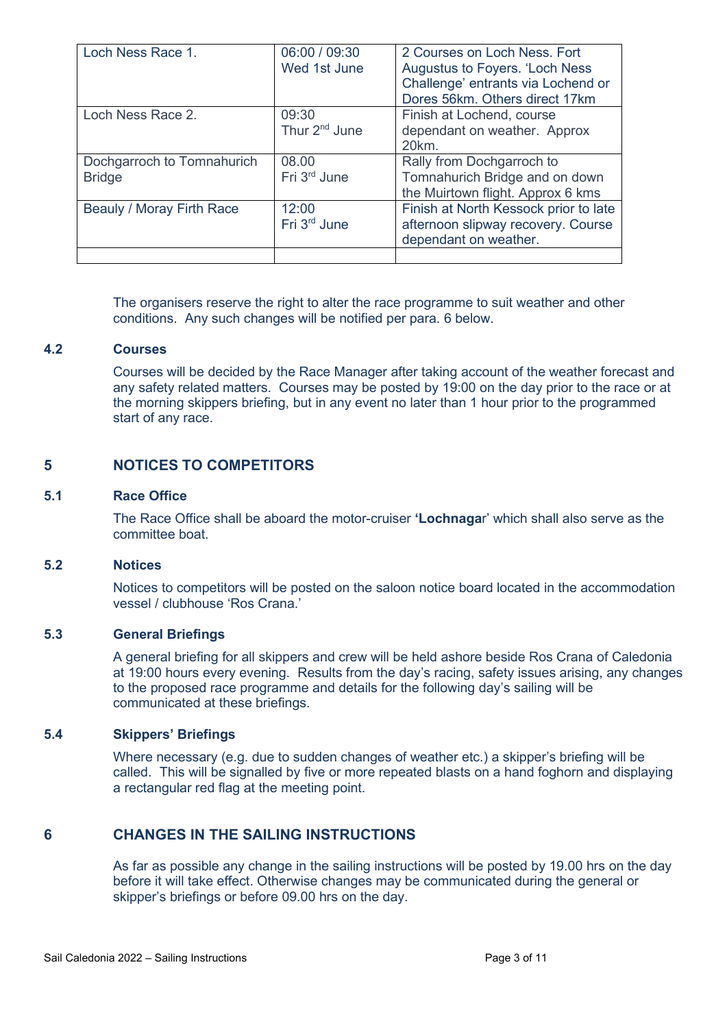| Loch Ness Race 1.                           | 06:00 / 09:30<br>Wed 1st June      | 2 Courses on Loch Ness. Fort<br>Augustus to Foyers. 'Loch Ness<br>Challenge' entrants via Lochend or<br>Dores 56km. Others direct 17km |
|---------------------------------------------|------------------------------------|----------------------------------------------------------------------------------------------------------------------------------------|
| Loch Ness Race 2.                           | 09:30<br>Thur 2 <sup>nd</sup> June | Finish at Lochend, course<br>dependant on weather. Approx<br>20km.                                                                     |
| Dochgarroch to Tomnahurich<br><b>Bridge</b> | 08.00<br>Fri 3 <sup>rd</sup> June  | Rally from Dochgarroch to<br>Tomnahurich Bridge and on down<br>the Muirtown flight. Approx 6 kms                                       |
| Beauly / Moray Firth Race                   | 12:00<br>Fri 3rd June              | Finish at North Kessock prior to late<br>afternoon slipway recovery. Course<br>dependant on weather.                                   |
|                                             |                                    |                                                                                                                                        |

The organisers reserve the right to alter the race programme to suit weather and other conditions. Any such changes will be notified per para. 6 below.

## **4.2 Courses**

Courses will be decided by the Race Manager after taking account of the weather forecast and any safety related matters. Courses may be posted by 19:00 on the day prior to the race or at the morning skippers briefing, but in any event no later than 1 hour prior to the programmed start of any race.

## **5 NOTICES TO COMPETITORS**

#### **5.1 Race Office**

The Race Office shall be aboard the motor-cruiser **'Lochnaga**r' which shall also serve as the committee boat.

#### **5.2 Notices**

Notices to competitors will be posted on the saloon notice board located in the accommodation vessel / clubhouse 'Ros Crana.'

## **5.3 General Briefings**

A general briefing for all skippers and crew will be held ashore beside Ros Crana of Caledonia at 19:00 hours every evening. Results from the day's racing, safety issues arising, any changes to the proposed race programme and details for the following day's sailing will be communicated at these briefings.

## **5.4 Skippers' Briefings**

Where necessary (e.g. due to sudden changes of weather etc.) a skipper's briefing will be called. This will be signalled by five or more repeated blasts on a hand foghorn and displaying a rectangular red flag at the meeting point.

## **6 CHANGES IN THE SAILING INSTRUCTIONS**

As far as possible any change in the sailing instructions will be posted by 19.00 hrs on the day before it will take effect. Otherwise changes may be communicated during the general or skipper's briefings or before 09.00 hrs on the day.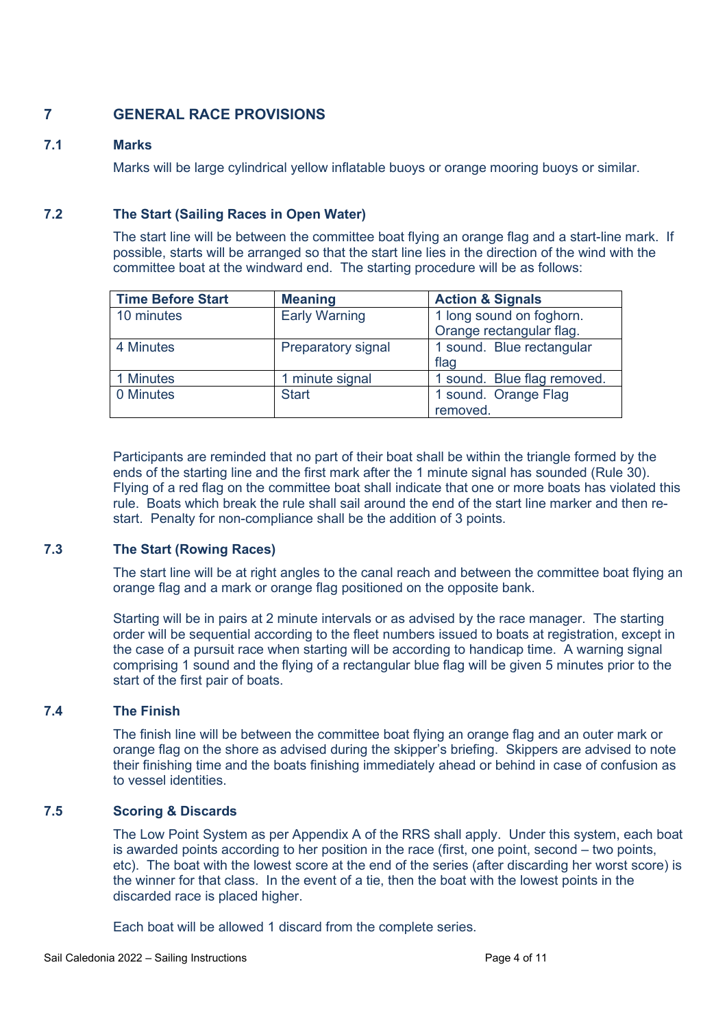## **7 GENERAL RACE PROVISIONS**

## **7.1 Marks**

Marks will be large cylindrical yellow inflatable buoys or orange mooring buoys or similar.

## **7.2 The Start (Sailing Races in Open Water)**

The start line will be between the committee boat flying an orange flag and a start-line mark. If possible, starts will be arranged so that the start line lies in the direction of the wind with the committee boat at the windward end. The starting procedure will be as follows:

| <b>Time Before Start</b> | <b>Meaning</b>       | <b>Action &amp; Signals</b> |
|--------------------------|----------------------|-----------------------------|
| 10 minutes               | <b>Early Warning</b> | 1 long sound on foghorn.    |
|                          |                      | Orange rectangular flag.    |
| 4 Minutes                | Preparatory signal   | 1 sound. Blue rectangular   |
|                          |                      | flag                        |
| 1 Minutes                | 1 minute signal      | 1 sound. Blue flag removed. |
| 0 Minutes                | <b>Start</b>         | 1 sound. Orange Flag        |
|                          |                      | removed.                    |

Participants are reminded that no part of their boat shall be within the triangle formed by the ends of the starting line and the first mark after the 1 minute signal has sounded (Rule 30). Flying of a red flag on the committee boat shall indicate that one or more boats has violated this rule. Boats which break the rule shall sail around the end of the start line marker and then restart. Penalty for non-compliance shall be the addition of 3 points.

## **7.3 The Start (Rowing Races)**

The start line will be at right angles to the canal reach and between the committee boat flying an orange flag and a mark or orange flag positioned on the opposite bank.

Starting will be in pairs at 2 minute intervals or as advised by the race manager. The starting order will be sequential according to the fleet numbers issued to boats at registration, except in the case of a pursuit race when starting will be according to handicap time. A warning signal comprising 1 sound and the flying of a rectangular blue flag will be given 5 minutes prior to the start of the first pair of boats.

## **7.4 The Finish**

The finish line will be between the committee boat flying an orange flag and an outer mark or orange flag on the shore as advised during the skipper's briefing. Skippers are advised to note their finishing time and the boats finishing immediately ahead or behind in case of confusion as to vessel identities.

## **7.5 Scoring & Discards**

The Low Point System as per Appendix A of the RRS shall apply. Under this system, each boat is awarded points according to her position in the race (first, one point, second – two points, etc). The boat with the lowest score at the end of the series (after discarding her worst score) is the winner for that class. In the event of a tie, then the boat with the lowest points in the discarded race is placed higher.

Each boat will be allowed 1 discard from the complete series.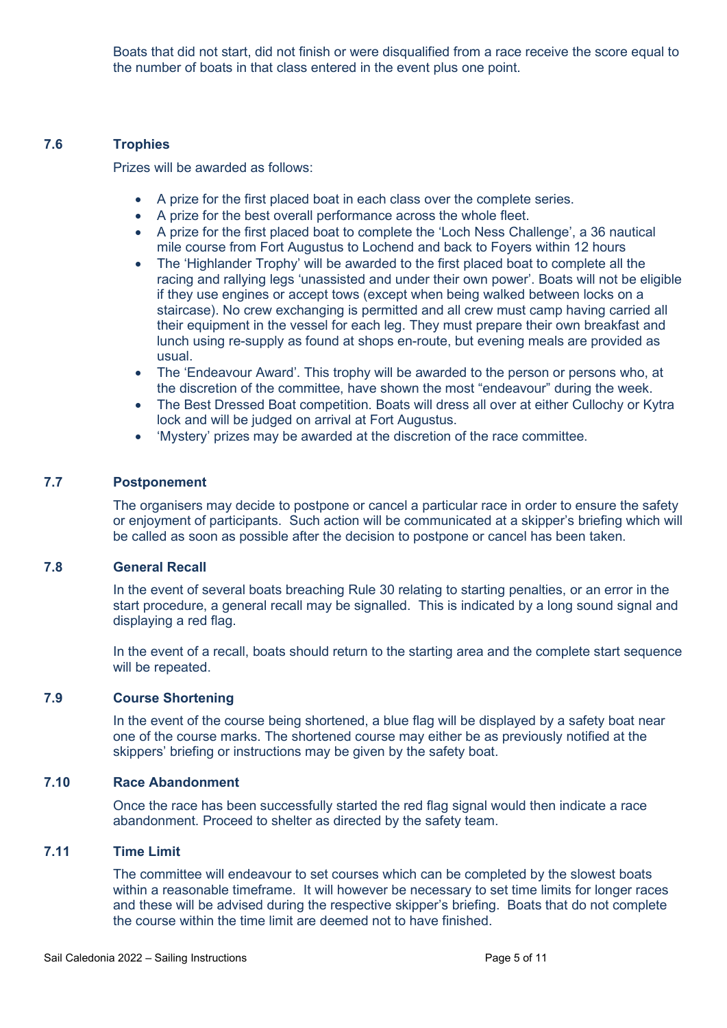Boats that did not start, did not finish or were disqualified from a race receive the score equal to the number of boats in that class entered in the event plus one point.

## **7.6 Trophies**

Prizes will be awarded as follows:

- A prize for the first placed boat in each class over the complete series.
- A prize for the best overall performance across the whole fleet.
- A prize for the first placed boat to complete the 'Loch Ness Challenge', a 36 nautical mile course from Fort Augustus to Lochend and back to Foyers within 12 hours
- The 'Highlander Trophy' will be awarded to the first placed boat to complete all the racing and rallying legs 'unassisted and under their own power'. Boats will not be eligible if they use engines or accept tows (except when being walked between locks on a staircase). No crew exchanging is permitted and all crew must camp having carried all their equipment in the vessel for each leg. They must prepare their own breakfast and lunch using re-supply as found at shops en-route, but evening meals are provided as usual.
- The 'Endeavour Award'. This trophy will be awarded to the person or persons who, at the discretion of the committee, have shown the most "endeavour" during the week.
- The Best Dressed Boat competition. Boats will dress all over at either Cullochy or Kytra lock and will be judged on arrival at Fort Augustus.
- 'Mystery' prizes may be awarded at the discretion of the race committee.

## **7.7 Postponement**

The organisers may decide to postpone or cancel a particular race in order to ensure the safety or enjoyment of participants. Such action will be communicated at a skipper's briefing which will be called as soon as possible after the decision to postpone or cancel has been taken.

## **7.8 General Recall**

In the event of several boats breaching Rule 30 relating to starting penalties, or an error in the start procedure, a general recall may be signalled. This is indicated by a long sound signal and displaying a red flag.

In the event of a recall, boats should return to the starting area and the complete start sequence will be repeated.

## **7.9 Course Shortening**

In the event of the course being shortened, a blue flag will be displayed by a safety boat near one of the course marks. The shortened course may either be as previously notified at the skippers' briefing or instructions may be given by the safety boat.

## **7.10 Race Abandonment**

Once the race has been successfully started the red flag signal would then indicate a race abandonment. Proceed to shelter as directed by the safety team.

## **7.11 Time Limit**

The committee will endeavour to set courses which can be completed by the slowest boats within a reasonable timeframe. It will however be necessary to set time limits for longer races and these will be advised during the respective skipper's briefing. Boats that do not complete the course within the time limit are deemed not to have finished.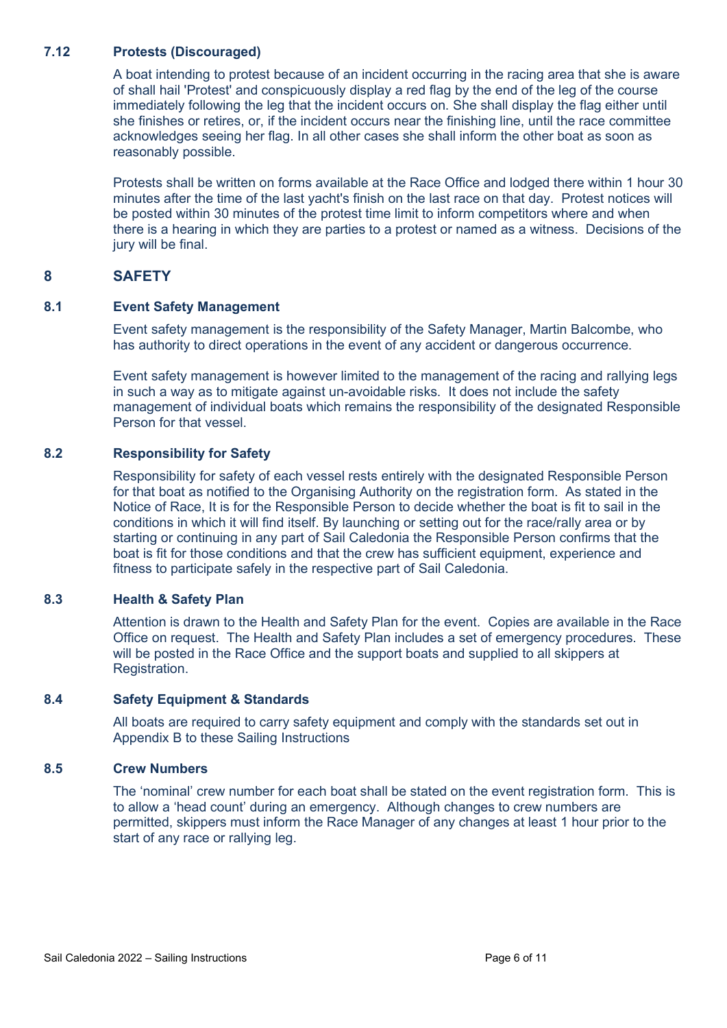## **7.12 Protests (Discouraged)**

A boat intending to protest because of an incident occurring in the racing area that she is aware of shall hail 'Protest' and conspicuously display a red flag by the end of the leg of the course immediately following the leg that the incident occurs on. She shall display the flag either until she finishes or retires, or, if the incident occurs near the finishing line, until the race committee acknowledges seeing her flag. In all other cases she shall inform the other boat as soon as reasonably possible.

Protests shall be written on forms available at the Race Office and lodged there within 1 hour 30 minutes after the time of the last yacht's finish on the last race on that day. Protest notices will be posted within 30 minutes of the protest time limit to inform competitors where and when there is a hearing in which they are parties to a protest or named as a witness. Decisions of the jury will be final.

## **8 SAFETY**

## **8.1 Event Safety Management**

Event safety management is the responsibility of the Safety Manager, Martin Balcombe, who has authority to direct operations in the event of any accident or dangerous occurrence.

Event safety management is however limited to the management of the racing and rallying legs in such a way as to mitigate against un-avoidable risks. It does not include the safety management of individual boats which remains the responsibility of the designated Responsible Person for that vessel.

## **8.2 Responsibility for Safety**

Responsibility for safety of each vessel rests entirely with the designated Responsible Person for that boat as notified to the Organising Authority on the registration form. As stated in the Notice of Race, It is for the Responsible Person to decide whether the boat is fit to sail in the conditions in which it will find itself. By launching or setting out for the race/rally area or by starting or continuing in any part of Sail Caledonia the Responsible Person confirms that the boat is fit for those conditions and that the crew has sufficient equipment, experience and fitness to participate safely in the respective part of Sail Caledonia.

## **8.3 Health & Safety Plan**

Attention is drawn to the Health and Safety Plan for the event. Copies are available in the Race Office on request. The Health and Safety Plan includes a set of emergency procedures. These will be posted in the Race Office and the support boats and supplied to all skippers at Registration.

## **8.4 Safety Equipment & Standards**

All boats are required to carry safety equipment and comply with the standards set out in Appendix B to these Sailing Instructions

## **8.5 Crew Numbers**

The 'nominal' crew number for each boat shall be stated on the event registration form. This is to allow a 'head count' during an emergency. Although changes to crew numbers are permitted, skippers must inform the Race Manager of any changes at least 1 hour prior to the start of any race or rallying leg.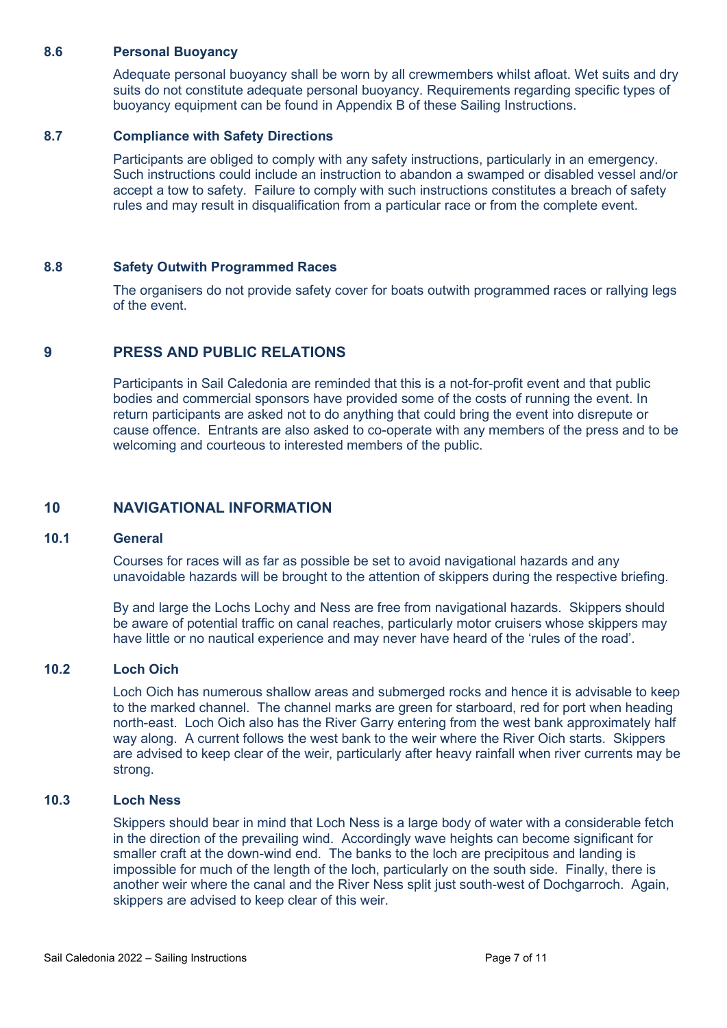### **8.6 Personal Buoyancy**

Adequate personal buoyancy shall be worn by all crewmembers whilst afloat. Wet suits and dry suits do not constitute adequate personal buoyancy. Requirements regarding specific types of buoyancy equipment can be found in Appendix B of these Sailing Instructions.

## **8.7 Compliance with Safety Directions**

Participants are obliged to comply with any safety instructions, particularly in an emergency. Such instructions could include an instruction to abandon a swamped or disabled vessel and/or accept a tow to safety. Failure to comply with such instructions constitutes a breach of safety rules and may result in disqualification from a particular race or from the complete event.

## **8.8 Safety Outwith Programmed Races**

The organisers do not provide safety cover for boats outwith programmed races or rallying legs of the event.

## **9 PRESS AND PUBLIC RELATIONS**

Participants in Sail Caledonia are reminded that this is a not-for-profit event and that public bodies and commercial sponsors have provided some of the costs of running the event. In return participants are asked not to do anything that could bring the event into disrepute or cause offence. Entrants are also asked to co-operate with any members of the press and to be welcoming and courteous to interested members of the public.

## **10 NAVIGATIONAL INFORMATION**

#### **10.1 General**

Courses for races will as far as possible be set to avoid navigational hazards and any unavoidable hazards will be brought to the attention of skippers during the respective briefing.

By and large the Lochs Lochy and Ness are free from navigational hazards. Skippers should be aware of potential traffic on canal reaches, particularly motor cruisers whose skippers may have little or no nautical experience and may never have heard of the 'rules of the road'.

#### **10.2 Loch Oich**

Loch Oich has numerous shallow areas and submerged rocks and hence it is advisable to keep to the marked channel. The channel marks are green for starboard, red for port when heading north-east. Loch Oich also has the River Garry entering from the west bank approximately half way along. A current follows the west bank to the weir where the River Oich starts. Skippers are advised to keep clear of the weir, particularly after heavy rainfall when river currents may be strong.

## **10.3 Loch Ness**

Skippers should bear in mind that Loch Ness is a large body of water with a considerable fetch in the direction of the prevailing wind. Accordingly wave heights can become significant for smaller craft at the down-wind end. The banks to the loch are precipitous and landing is impossible for much of the length of the loch, particularly on the south side. Finally, there is another weir where the canal and the River Ness split just south-west of Dochgarroch. Again, skippers are advised to keep clear of this weir.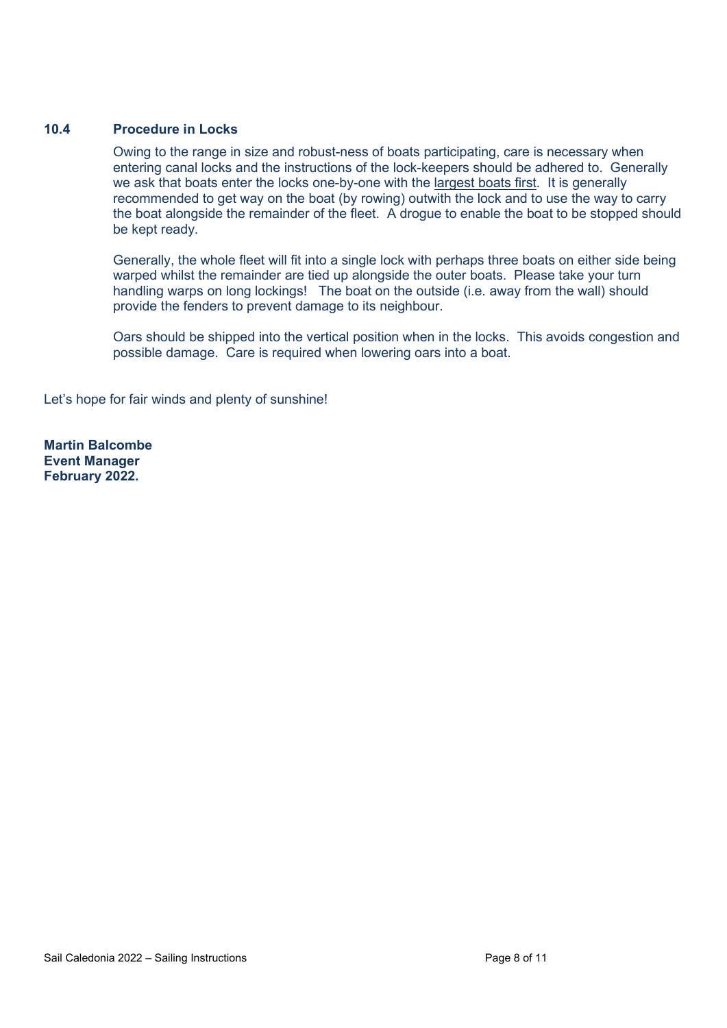## **10.4 Procedure in Locks**

Owing to the range in size and robust-ness of boats participating, care is necessary when entering canal locks and the instructions of the lock-keepers should be adhered to. Generally we ask that boats enter the locks one-by-one with the largest boats first. It is generally recommended to get way on the boat (by rowing) outwith the lock and to use the way to carry the boat alongside the remainder of the fleet. A drogue to enable the boat to be stopped should be kept ready.

Generally, the whole fleet will fit into a single lock with perhaps three boats on either side being warped whilst the remainder are tied up alongside the outer boats. Please take your turn handling warps on long lockings! The boat on the outside (i.e. away from the wall) should provide the fenders to prevent damage to its neighbour.

Oars should be shipped into the vertical position when in the locks. This avoids congestion and possible damage. Care is required when lowering oars into a boat.

Let's hope for fair winds and plenty of sunshine!

**Martin Balcombe Event Manager February 2022.**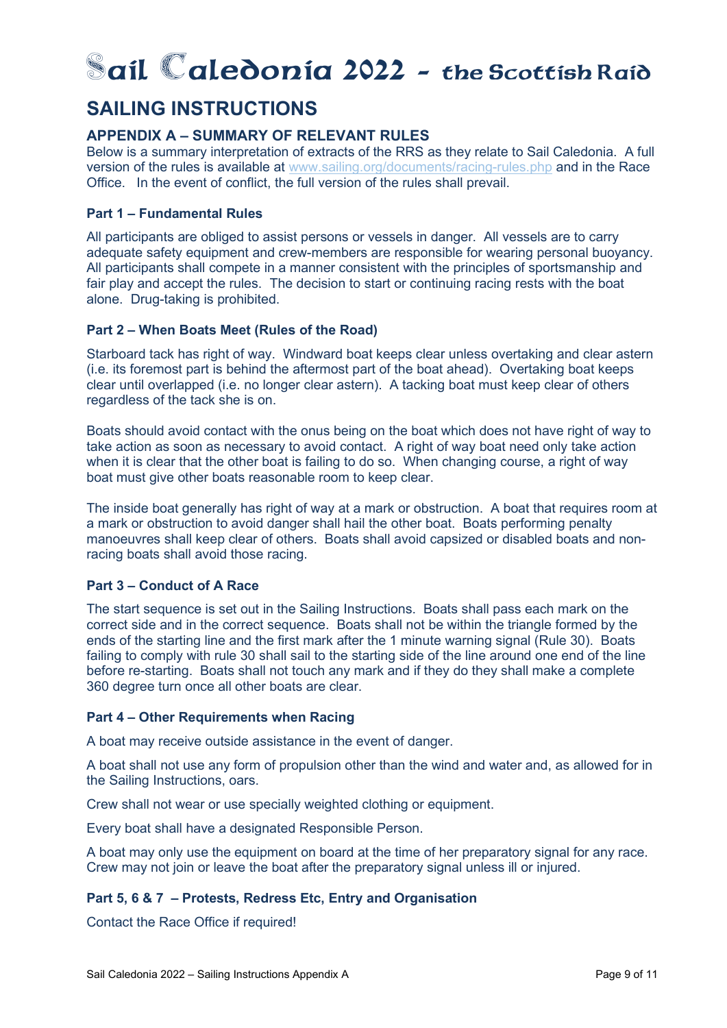# **-ail aledonia 2022 -** the Scottish Raid

## **SAILING INSTRUCTIONS**

## **APPENDIX A – SUMMARY OF RELEVANT RULES**

Below is a summary interpretation of extracts of the RRS as they relate to Sail Caledonia. A full version of the rules is available at www.sailing.org/documents/racing-rules.php and in the Race Office. In the event of conflict, the full version of the rules shall prevail.

## **Part 1 – Fundamental Rules**

All participants are obliged to assist persons or vessels in danger. All vessels are to carry adequate safety equipment and crew-members are responsible for wearing personal buoyancy. All participants shall compete in a manner consistent with the principles of sportsmanship and fair play and accept the rules. The decision to start or continuing racing rests with the boat alone. Drug-taking is prohibited.

## **Part 2 – When Boats Meet (Rules of the Road)**

Starboard tack has right of way. Windward boat keeps clear unless overtaking and clear astern (i.e. its foremost part is behind the aftermost part of the boat ahead). Overtaking boat keeps clear until overlapped (i.e. no longer clear astern). A tacking boat must keep clear of others regardless of the tack she is on.

Boats should avoid contact with the onus being on the boat which does not have right of way to take action as soon as necessary to avoid contact. A right of way boat need only take action when it is clear that the other boat is failing to do so. When changing course, a right of way boat must give other boats reasonable room to keep clear.

The inside boat generally has right of way at a mark or obstruction. A boat that requires room at a mark or obstruction to avoid danger shall hail the other boat. Boats performing penalty manoeuvres shall keep clear of others. Boats shall avoid capsized or disabled boats and nonracing boats shall avoid those racing.

## **Part 3 – Conduct of A Race**

The start sequence is set out in the Sailing Instructions. Boats shall pass each mark on the correct side and in the correct sequence. Boats shall not be within the triangle formed by the ends of the starting line and the first mark after the 1 minute warning signal (Rule 30). Boats failing to comply with rule 30 shall sail to the starting side of the line around one end of the line before re-starting. Boats shall not touch any mark and if they do they shall make a complete 360 degree turn once all other boats are clear.

## **Part 4 – Other Requirements when Racing**

A boat may receive outside assistance in the event of danger.

A boat shall not use any form of propulsion other than the wind and water and, as allowed for in the Sailing Instructions, oars.

Crew shall not wear or use specially weighted clothing or equipment.

Every boat shall have a designated Responsible Person.

A boat may only use the equipment on board at the time of her preparatory signal for any race. Crew may not join or leave the boat after the preparatory signal unless ill or injured.

## **Part 5, 6 & 7 – Protests, Redress Etc, Entry and Organisation**

Contact the Race Office if required!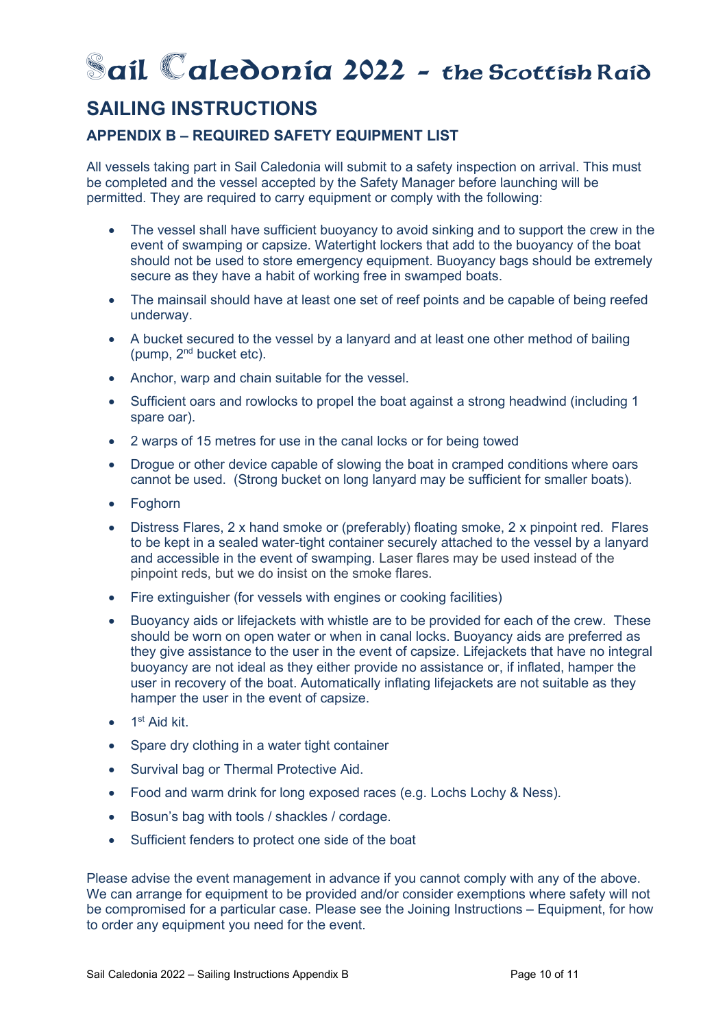# **-ail aledonia 2022 -** the Scottish Raid

## **SAILING INSTRUCTIONS**

## **APPENDIX B – REQUIRED SAFETY EQUIPMENT LIST**

All vessels taking part in Sail Caledonia will submit to a safety inspection on arrival. This must be completed and the vessel accepted by the Safety Manager before launching will be permitted. They are required to carry equipment or comply with the following:

- The vessel shall have sufficient buoyancy to avoid sinking and to support the crew in the event of swamping or capsize. Watertight lockers that add to the buoyancy of the boat should not be used to store emergency equipment. Buoyancy bags should be extremely secure as they have a habit of working free in swamped boats.
- The mainsail should have at least one set of reef points and be capable of being reefed underway.
- A bucket secured to the vessel by a lanyard and at least one other method of bailing (pump, 2nd bucket etc).
- Anchor, warp and chain suitable for the vessel.
- Sufficient oars and rowlocks to propel the boat against a strong headwind (including 1 spare oar).
- 2 warps of 15 metres for use in the canal locks or for being towed
- Drogue or other device capable of slowing the boat in cramped conditions where oars cannot be used. (Strong bucket on long lanyard may be sufficient for smaller boats).
- Foghorn
- Distress Flares, 2 x hand smoke or (preferably) floating smoke, 2 x pinpoint red. Flares to be kept in a sealed water-tight container securely attached to the vessel by a lanyard and accessible in the event of swamping. Laser flares may be used instead of the pinpoint reds, but we do insist on the smoke flares.
- Fire extinguisher (for vessels with engines or cooking facilities)
- Buoyancy aids or lifejackets with whistle are to be provided for each of the crew. These should be worn on open water or when in canal locks. Buoyancy aids are preferred as they give assistance to the user in the event of capsize. Lifejackets that have no integral buoyancy are not ideal as they either provide no assistance or, if inflated, hamper the user in recovery of the boat. Automatically inflating lifejackets are not suitable as they hamper the user in the event of capsize.
- $\bullet$  1<sup>st</sup> Aid kit.
- Spare dry clothing in a water tight container
- Survival bag or Thermal Protective Aid.
- Food and warm drink for long exposed races (e.g. Lochs Lochy & Ness).
- Bosun's bag with tools / shackles / cordage.
- Sufficient fenders to protect one side of the boat

Please advise the event management in advance if you cannot comply with any of the above. We can arrange for equipment to be provided and/or consider exemptions where safety will not be compromised for a particular case. Please see the Joining Instructions – Equipment, for how to order any equipment you need for the event.